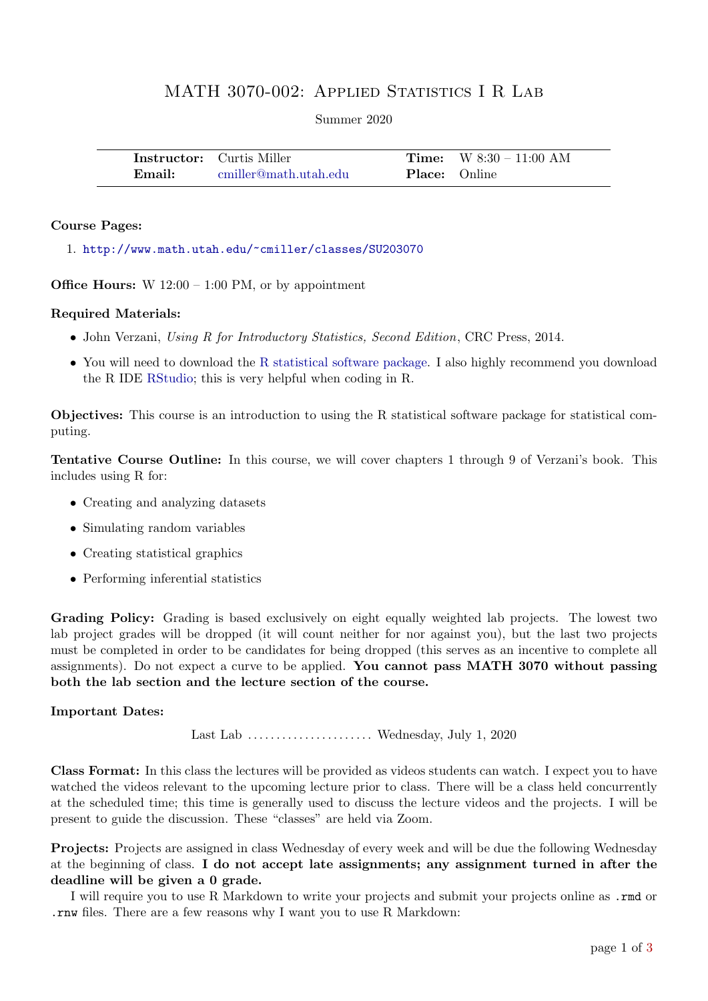## MATH 3070-002: APPLIED STATISTICS I R LAB

Summer 2020

|        | <b>Instructor:</b> Curtis Miller |                      | <b>Time:</b> $W 8:30 - 11:00 AM$ |
|--------|----------------------------------|----------------------|----------------------------------|
| Email: | - cmiller@math.utah.edu          | <b>Place:</b> Online |                                  |

## Course Pages:

1. <http://www.math.utah.edu/~cmiller/classes/SU203070>

**Office Hours:** W  $12:00 - 1:00 \text{ PM}$ , or by appointment

## Required Materials:

- John Verzani, Using R for Introductory Statistics, Second Edition, CRC Press, 2014.
- You will need to download the [R statistical software package.](https://www.r-project.org/foundation/) I also highly recommend you download the R IDE [RStudio;](https://www.rstudio.com/) this is very helpful when coding in R.

Objectives: This course is an introduction to using the R statistical software package for statistical computing.

Tentative Course Outline: In this course, we will cover chapters 1 through 9 of Verzani's book. This includes using R for:

- Creating and analyzing datasets
- Simulating random variables
- Creating statistical graphics
- Performing inferential statistics

Grading Policy: Grading is based exclusively on eight equally weighted lab projects. The lowest two lab project grades will be dropped (it will count neither for nor against you), but the last two projects must be completed in order to be candidates for being dropped (this serves as an incentive to complete all assignments). Do not expect a curve to be applied. You cannot pass MATH 3070 without passing both the lab section and the lecture section of the course.

## Important Dates:

Last Lab . . . . . . . . . . . . . . . . . . . . . . Wednesday, July 1, 2020

Class Format: In this class the lectures will be provided as videos students can watch. I expect you to have watched the videos relevant to the upcoming lecture prior to class. There will be a class held concurrently at the scheduled time; this time is generally used to discuss the lecture videos and the projects. I will be present to guide the discussion. These "classes" are held via Zoom.

Projects: Projects are assigned in class Wednesday of every week and will be due the following Wednesday at the beginning of class. I do not accept late assignments; any assignment turned in after the deadline will be given a 0 grade.

I will require you to use R Markdown to write your projects and submit your projects online as .rmd or .rnw files. There are a few reasons why I want you to use R Markdown: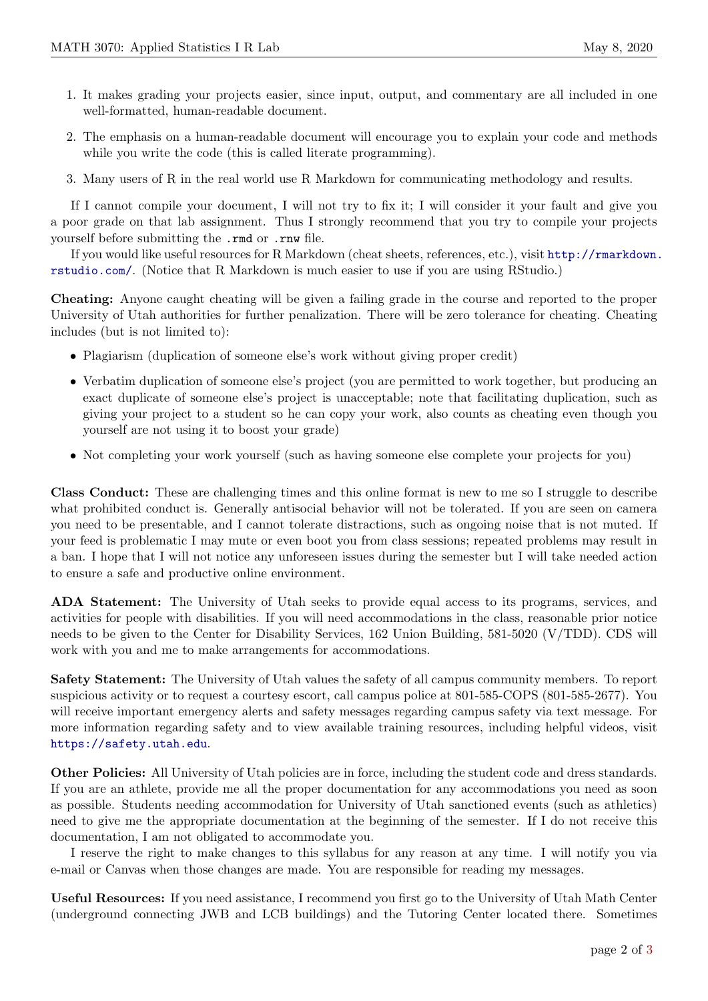- 1. It makes grading your projects easier, since input, output, and commentary are all included in one well-formatted, human-readable document.
- 2. The emphasis on a human-readable document will encourage you to explain your code and methods while you write the code (this is called literate programming).
- 3. Many users of R in the real world use R Markdown for communicating methodology and results.

If I cannot compile your document, I will not try to fix it; I will consider it your fault and give you a poor grade on that lab assignment. Thus I strongly recommend that you try to compile your projects yourself before submitting the .rmd or .rnw file.

If you would like useful resources for R Markdown (cheat sheets, references, etc.), visit [http://rmarkdown.](http://rmarkdown.rstudio.com/) [rstudio.com/](http://rmarkdown.rstudio.com/). (Notice that R Markdown is much easier to use if you are using RStudio.)

Cheating: Anyone caught cheating will be given a failing grade in the course and reported to the proper University of Utah authorities for further penalization. There will be zero tolerance for cheating. Cheating includes (but is not limited to):

- Plagiarism (duplication of someone else's work without giving proper credit)
- Verbatim duplication of someone else's project (you are permitted to work together, but producing an exact duplicate of someone else's project is unacceptable; note that facilitating duplication, such as giving your project to a student so he can copy your work, also counts as cheating even though you yourself are not using it to boost your grade)
- Not completing your work yourself (such as having someone else complete your projects for you)

Class Conduct: These are challenging times and this online format is new to me so I struggle to describe what prohibited conduct is. Generally antisocial behavior will not be tolerated. If you are seen on camera you need to be presentable, and I cannot tolerate distractions, such as ongoing noise that is not muted. If your feed is problematic I may mute or even boot you from class sessions; repeated problems may result in a ban. I hope that I will not notice any unforeseen issues during the semester but I will take needed action to ensure a safe and productive online environment.

ADA Statement: The University of Utah seeks to provide equal access to its programs, services, and activities for people with disabilities. If you will need accommodations in the class, reasonable prior notice needs to be given to the Center for Disability Services, 162 Union Building, 581-5020 (V/TDD). CDS will work with you and me to make arrangements for accommodations.

Safety Statement: The University of Utah values the safety of all campus community members. To report suspicious activity or to request a courtesy escort, call campus police at 801-585-COPS (801-585-2677). You will receive important emergency alerts and safety messages regarding campus safety via text message. For more information regarding safety and to view available training resources, including helpful videos, visit <https://safety.utah.edu>.

Other Policies: All University of Utah policies are in force, including the student code and dress standards. If you are an athlete, provide me all the proper documentation for any accommodations you need as soon as possible. Students needing accommodation for University of Utah sanctioned events (such as athletics) need to give me the appropriate documentation at the beginning of the semester. If I do not receive this documentation, I am not obligated to accommodate you.

I reserve the right to make changes to this syllabus for any reason at any time. I will notify you via e-mail or Canvas when those changes are made. You are responsible for reading my messages.

Useful Resources: If you need assistance, I recommend you first go to the University of Utah Math Center (underground connecting JWB and LCB buildings) and the Tutoring Center located there. Sometimes